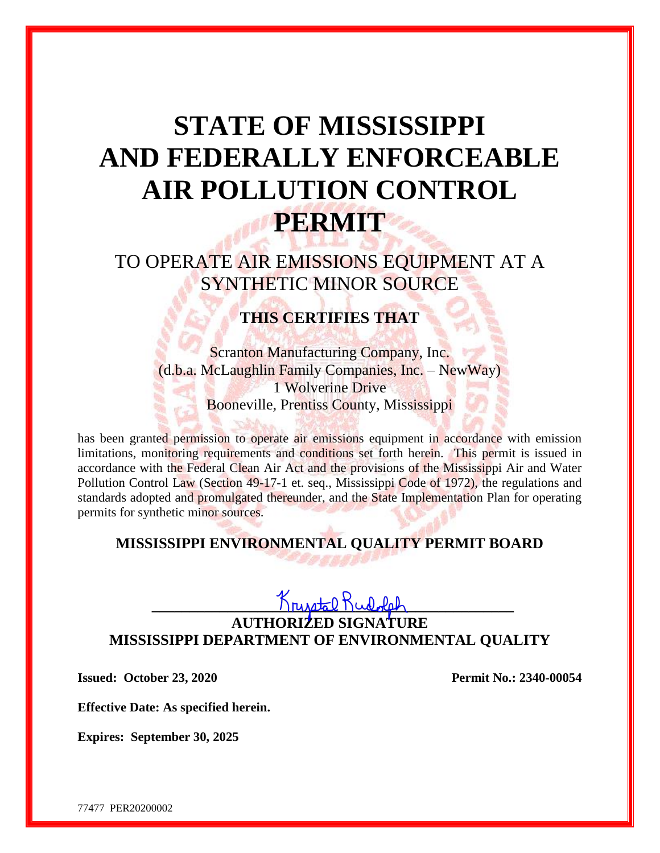# **STATE OF MISSISSIPPI AND FEDERALLY ENFORCEABLE AIR POLLUTION CONTROL PERMIT**

TO OPERATE AIR EMISSIONS EQUIPMENT AT A SYNTHETIC MINOR SOURCE

**THIS CERTIFIES THAT**

Scranton Manufacturing Company, Inc. (d.b.a. McLaughlin Family Companies, Inc. – NewWay) 1 Wolverine Drive Booneville, Prentiss County, Mississippi

has been granted permission to operate air emissions equipment in accordance with emission limitations, monitoring requirements and conditions set forth herein. This permit is issued in accordance with the Federal Clean Air Act and the provisions of the Mississippi Air and Water Pollution Control Law (Section 49-17-1 et. seq., Mississippi Code of 1972), the regulations and standards adopted and promulgated thereunder, and the State Implementation Plan for operating permits for synthetic minor sources.

# **MISSISSIPPI ENVIRONMENTAL QUALITY PERMIT BOARD**

# **\_\_\_\_\_\_\_\_\_\_\_\_\_\_\_\_\_\_\_\_\_\_\_\_\_\_\_\_\_\_\_\_\_\_\_\_\_\_\_\_\_\_\_\_\_\_\_\_**

# **AUTHORIZED SIGNATURE MISSISSIPPI DEPARTMENT OF ENVIRONMENTAL QUALITY**

**Issued: October 23, 2020 Permit No.: 2340-00054**

**Effective Date: As specified herein.**

**Expires: September 30, 2025**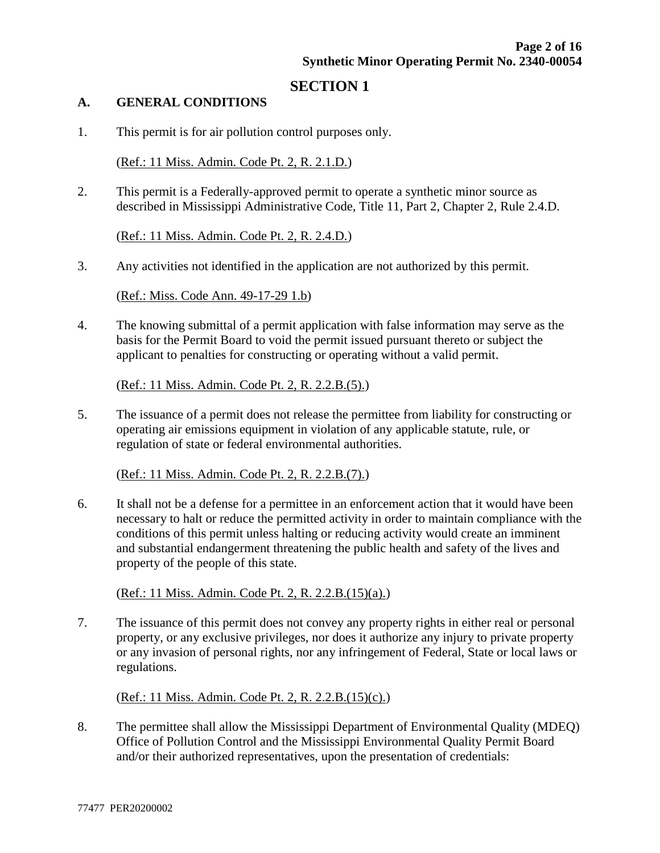### **SECTION 1**

#### **A. GENERAL CONDITIONS**

1. This permit is for air pollution control purposes only.

(Ref.: 11 Miss. Admin. Code Pt. 2, R. 2.1.D.)

2. This permit is a Federally-approved permit to operate a synthetic minor source as described in Mississippi Administrative Code, Title 11, Part 2, Chapter 2, Rule 2.4.D.

(Ref.: 11 Miss. Admin. Code Pt. 2, R. 2.4.D.)

3. Any activities not identified in the application are not authorized by this permit.

(Ref.: Miss. Code Ann. 49-17-29 1.b)

4. The knowing submittal of a permit application with false information may serve as the basis for the Permit Board to void the permit issued pursuant thereto or subject the applicant to penalties for constructing or operating without a valid permit.

(Ref.: 11 Miss. Admin. Code Pt. 2, R. 2.2.B.(5).)

5. The issuance of a permit does not release the permittee from liability for constructing or operating air emissions equipment in violation of any applicable statute, rule, or regulation of state or federal environmental authorities.

(Ref.: 11 Miss. Admin. Code Pt. 2, R. 2.2.B.(7).)

6. It shall not be a defense for a permittee in an enforcement action that it would have been necessary to halt or reduce the permitted activity in order to maintain compliance with the conditions of this permit unless halting or reducing activity would create an imminent and substantial endangerment threatening the public health and safety of the lives and property of the people of this state.

(Ref.: 11 Miss. Admin. Code Pt. 2, R. 2.2.B.(15)(a).)

7. The issuance of this permit does not convey any property rights in either real or personal property, or any exclusive privileges, nor does it authorize any injury to private property or any invasion of personal rights, nor any infringement of Federal, State or local laws or regulations.

(Ref.: 11 Miss. Admin. Code Pt. 2, R. 2.2.B.(15)(c).)

8. The permittee shall allow the Mississippi Department of Environmental Quality (MDEQ) Office of Pollution Control and the Mississippi Environmental Quality Permit Board and/or their authorized representatives, upon the presentation of credentials: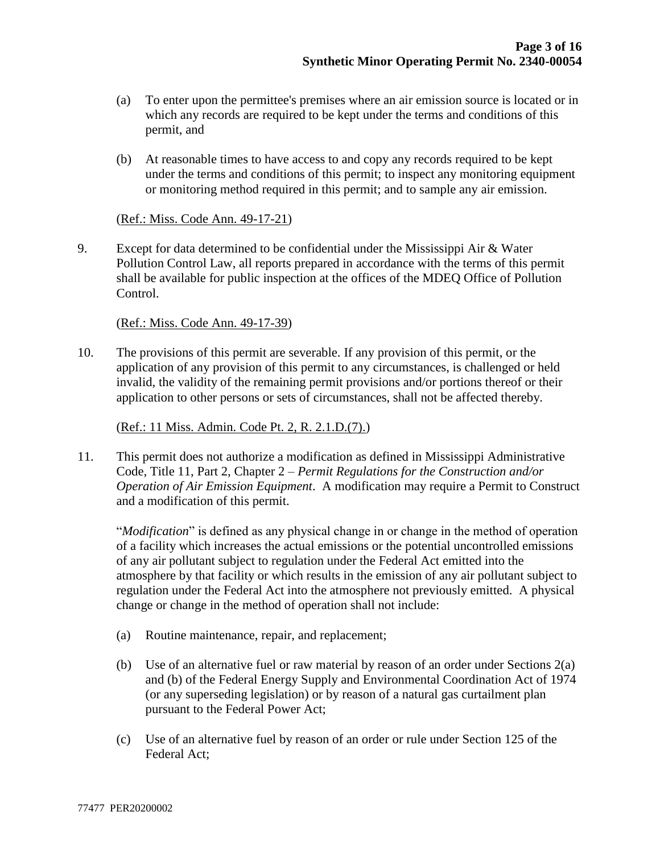- (a) To enter upon the permittee's premises where an air emission source is located or in which any records are required to be kept under the terms and conditions of this permit, and
- (b) At reasonable times to have access to and copy any records required to be kept under the terms and conditions of this permit; to inspect any monitoring equipment or monitoring method required in this permit; and to sample any air emission.

#### (Ref.: Miss. Code Ann. 49-17-21)

9. Except for data determined to be confidential under the Mississippi Air & Water Pollution Control Law, all reports prepared in accordance with the terms of this permit shall be available for public inspection at the offices of the MDEQ Office of Pollution Control.

#### (Ref.: Miss. Code Ann. 49-17-39)

10. The provisions of this permit are severable. If any provision of this permit, or the application of any provision of this permit to any circumstances, is challenged or held invalid, the validity of the remaining permit provisions and/or portions thereof or their application to other persons or sets of circumstances, shall not be affected thereby.

#### (Ref.: 11 Miss. Admin. Code Pt. 2, R. 2.1.D.(7).)

11. This permit does not authorize a modification as defined in Mississippi Administrative Code, Title 11, Part 2, Chapter 2 – *Permit Regulations for the Construction and/or Operation of Air Emission Equipment*. A modification may require a Permit to Construct and a modification of this permit.

"*Modification*" is defined as any physical change in or change in the method of operation of a facility which increases the actual emissions or the potential uncontrolled emissions of any air pollutant subject to regulation under the Federal Act emitted into the atmosphere by that facility or which results in the emission of any air pollutant subject to regulation under the Federal Act into the atmosphere not previously emitted. A physical change or change in the method of operation shall not include:

- (a) Routine maintenance, repair, and replacement;
- (b) Use of an alternative fuel or raw material by reason of an order under Sections 2(a) and (b) of the Federal Energy Supply and Environmental Coordination Act of 1974 (or any superseding legislation) or by reason of a natural gas curtailment plan pursuant to the Federal Power Act;
- (c) Use of an alternative fuel by reason of an order or rule under Section 125 of the Federal Act;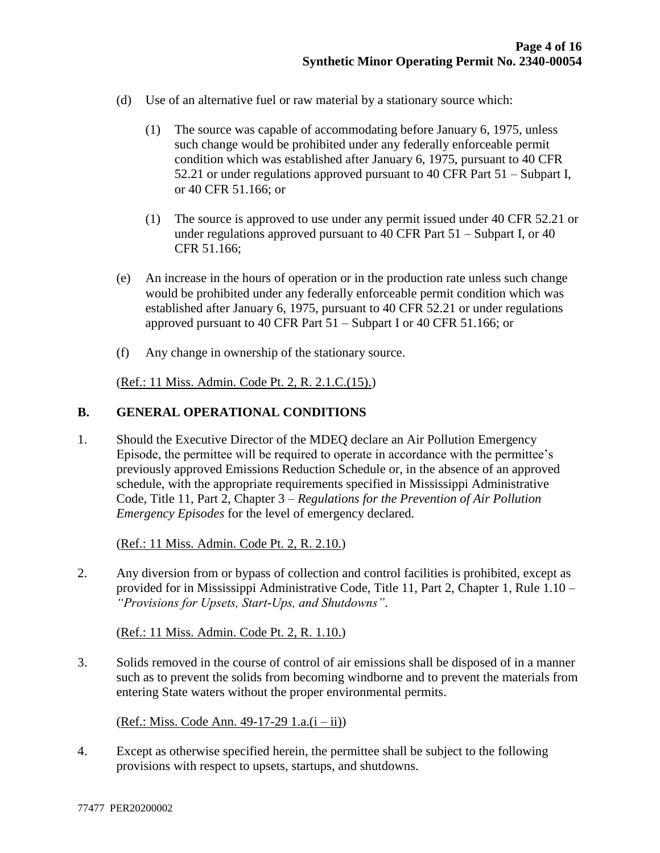- (d) Use of an alternative fuel or raw material by a stationary source which:
	- (1) The source was capable of accommodating before January 6, 1975, unless such change would be prohibited under any federally enforceable permit condition which was established after January 6, 1975, pursuant to 40 CFR 52.21 or under regulations approved pursuant to 40 CFR Part 51 – Subpart I, or 40 CFR 51.166; or
	- (1) The source is approved to use under any permit issued under 40 CFR 52.21 or under regulations approved pursuant to 40 CFR Part 51 – Subpart I, or 40 CFR 51.166;
- (e) An increase in the hours of operation or in the production rate unless such change would be prohibited under any federally enforceable permit condition which was established after January 6, 1975, pursuant to 40 CFR 52.21 or under regulations approved pursuant to 40 CFR Part 51 – Subpart I or 40 CFR 51.166; or
- (f) Any change in ownership of the stationary source.

(Ref.: 11 Miss. Admin. Code Pt. 2, R. 2.1.C.(15).)

#### **B. GENERAL OPERATIONAL CONDITIONS**

1. Should the Executive Director of the MDEQ declare an Air Pollution Emergency Episode, the permittee will be required to operate in accordance with the permittee's previously approved Emissions Reduction Schedule or, in the absence of an approved schedule, with the appropriate requirements specified in Mississippi Administrative Code, Title 11, Part 2, Chapter 3 – *Regulations for the Prevention of Air Pollution Emergency Episodes* for the level of emergency declared.

(Ref.: 11 Miss. Admin. Code Pt. 2, R. 2.10.)

2. Any diversion from or bypass of collection and control facilities is prohibited, except as provided for in Mississippi Administrative Code, Title 11, Part 2, Chapter 1, Rule 1.10 – *"Provisions for Upsets, Start-Ups, and Shutdowns"*.

(Ref.: 11 Miss. Admin. Code Pt. 2, R. 1.10.)

3. Solids removed in the course of control of air emissions shall be disposed of in a manner such as to prevent the solids from becoming windborne and to prevent the materials from entering State waters without the proper environmental permits.

 $(Ref.: Miss. Code Ann. 49-17-29 1.a.(i - ii))$ 

4. Except as otherwise specified herein, the permittee shall be subject to the following provisions with respect to upsets, startups, and shutdowns.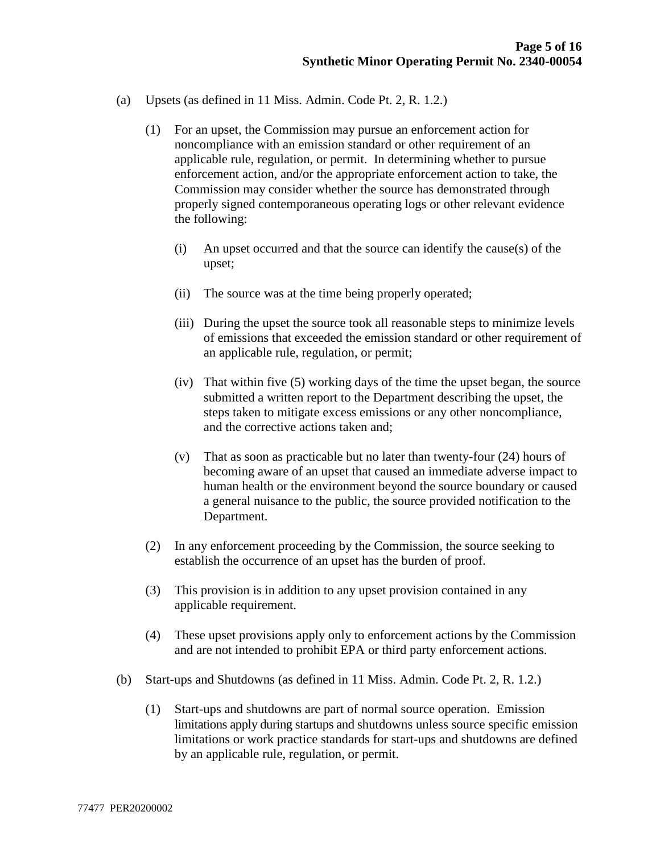- (a) Upsets (as defined in 11 Miss. Admin. Code Pt. 2, R. 1.2.)
	- (1) For an upset, the Commission may pursue an enforcement action for noncompliance with an emission standard or other requirement of an applicable rule, regulation, or permit. In determining whether to pursue enforcement action, and/or the appropriate enforcement action to take, the Commission may consider whether the source has demonstrated through properly signed contemporaneous operating logs or other relevant evidence the following:
		- (i) An upset occurred and that the source can identify the cause(s) of the upset;
		- (ii) The source was at the time being properly operated;
		- (iii) During the upset the source took all reasonable steps to minimize levels of emissions that exceeded the emission standard or other requirement of an applicable rule, regulation, or permit;
		- (iv) That within five (5) working days of the time the upset began, the source submitted a written report to the Department describing the upset, the steps taken to mitigate excess emissions or any other noncompliance, and the corrective actions taken and;
		- (v) That as soon as practicable but no later than twenty-four (24) hours of becoming aware of an upset that caused an immediate adverse impact to human health or the environment beyond the source boundary or caused a general nuisance to the public, the source provided notification to the Department.
	- (2) In any enforcement proceeding by the Commission, the source seeking to establish the occurrence of an upset has the burden of proof.
	- (3) This provision is in addition to any upset provision contained in any applicable requirement.
	- (4) These upset provisions apply only to enforcement actions by the Commission and are not intended to prohibit EPA or third party enforcement actions.
- (b) Start-ups and Shutdowns (as defined in 11 Miss. Admin. Code Pt. 2, R. 1.2.)
	- (1) Start-ups and shutdowns are part of normal source operation. Emission limitations apply during startups and shutdowns unless source specific emission limitations or work practice standards for start-ups and shutdowns are defined by an applicable rule, regulation, or permit.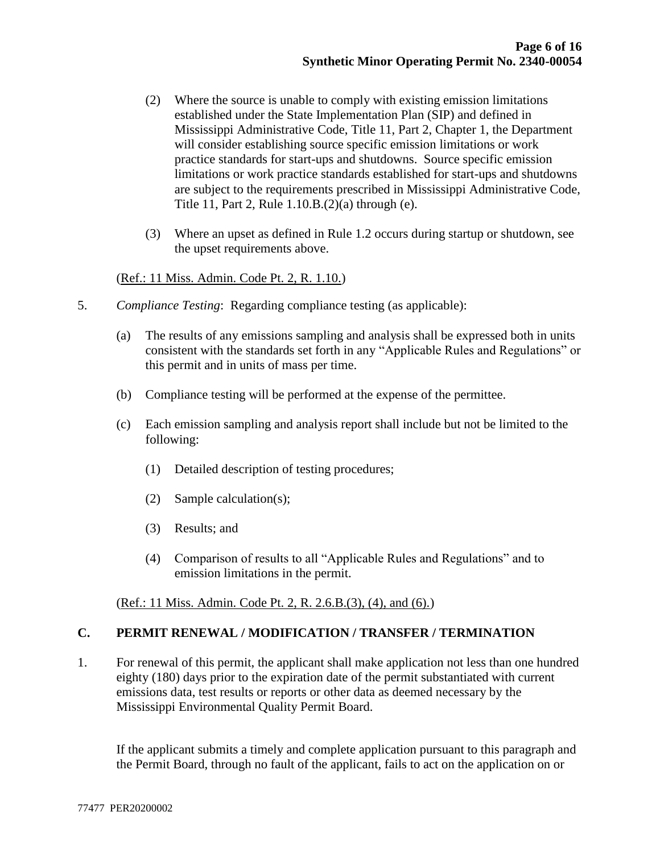- (2) Where the source is unable to comply with existing emission limitations established under the State Implementation Plan (SIP) and defined in Mississippi Administrative Code, Title 11, Part 2, Chapter 1, the Department will consider establishing source specific emission limitations or work practice standards for start-ups and shutdowns. Source specific emission limitations or work practice standards established for start-ups and shutdowns are subject to the requirements prescribed in Mississippi Administrative Code, Title 11, Part 2, Rule 1.10.B.(2)(a) through (e).
- (3) Where an upset as defined in Rule 1.2 occurs during startup or shutdown, see the upset requirements above.

#### (Ref.: 11 Miss. Admin. Code Pt. 2, R. 1.10.)

- 5. *Compliance Testing*: Regarding compliance testing (as applicable):
	- (a) The results of any emissions sampling and analysis shall be expressed both in units consistent with the standards set forth in any "Applicable Rules and Regulations" or this permit and in units of mass per time.
	- (b) Compliance testing will be performed at the expense of the permittee.
	- (c) Each emission sampling and analysis report shall include but not be limited to the following:
		- (1) Detailed description of testing procedures;
		- (2) Sample calculation(s);
		- (3) Results; and
		- (4) Comparison of results to all "Applicable Rules and Regulations" and to emission limitations in the permit.

(Ref.: 11 Miss. Admin. Code Pt. 2, R. 2.6.B.(3), (4), and (6).)

#### **C. PERMIT RENEWAL / MODIFICATION / TRANSFER / TERMINATION**

1. For renewal of this permit, the applicant shall make application not less than one hundred eighty (180) days prior to the expiration date of the permit substantiated with current emissions data, test results or reports or other data as deemed necessary by the Mississippi Environmental Quality Permit Board.

If the applicant submits a timely and complete application pursuant to this paragraph and the Permit Board, through no fault of the applicant, fails to act on the application on or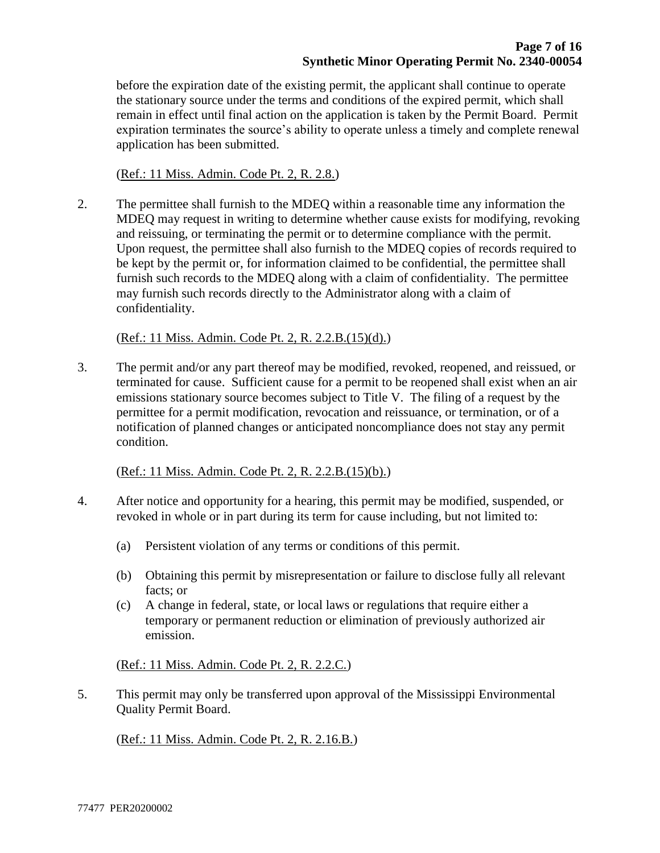before the expiration date of the existing permit, the applicant shall continue to operate the stationary source under the terms and conditions of the expired permit, which shall remain in effect until final action on the application is taken by the Permit Board. Permit expiration terminates the source's ability to operate unless a timely and complete renewal application has been submitted.

(Ref.: 11 Miss. Admin. Code Pt. 2, R. 2.8.)

2. The permittee shall furnish to the MDEQ within a reasonable time any information the MDEQ may request in writing to determine whether cause exists for modifying, revoking and reissuing, or terminating the permit or to determine compliance with the permit. Upon request, the permittee shall also furnish to the MDEQ copies of records required to be kept by the permit or, for information claimed to be confidential, the permittee shall furnish such records to the MDEQ along with a claim of confidentiality. The permittee may furnish such records directly to the Administrator along with a claim of confidentiality.

(Ref.: 11 Miss. Admin. Code Pt. 2, R. 2.2.B.(15)(d).)

3. The permit and/or any part thereof may be modified, revoked, reopened, and reissued, or terminated for cause. Sufficient cause for a permit to be reopened shall exist when an air emissions stationary source becomes subject to Title V. The filing of a request by the permittee for a permit modification, revocation and reissuance, or termination, or of a notification of planned changes or anticipated noncompliance does not stay any permit condition.

(Ref.: 11 Miss. Admin. Code Pt. 2, R. 2.2.B.(15)(b).)

- 4. After notice and opportunity for a hearing, this permit may be modified, suspended, or revoked in whole or in part during its term for cause including, but not limited to:
	- (a) Persistent violation of any terms or conditions of this permit.
	- (b) Obtaining this permit by misrepresentation or failure to disclose fully all relevant facts; or
	- (c) A change in federal, state, or local laws or regulations that require either a temporary or permanent reduction or elimination of previously authorized air emission.

(Ref.: 11 Miss. Admin. Code Pt. 2, R. 2.2.C.)

5. This permit may only be transferred upon approval of the Mississippi Environmental Quality Permit Board.

(Ref.: 11 Miss. Admin. Code Pt. 2, R. 2.16.B.)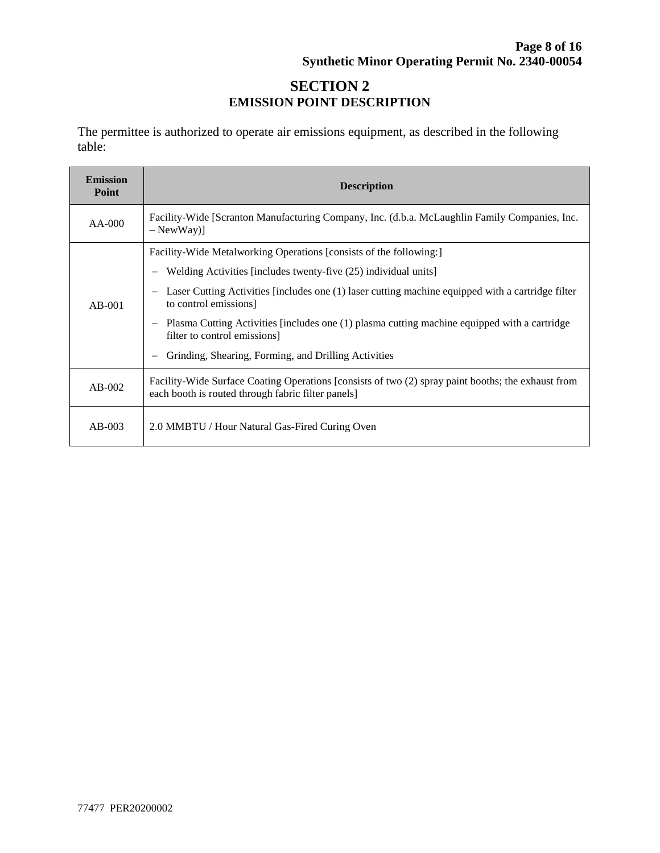# **SECTION 2 EMISSION POINT DESCRIPTION**

The permittee is authorized to operate air emissions equipment, as described in the following table:

| <b>Emission</b><br>Point | <b>Description</b>                                                                                                                                       |  |  |  |
|--------------------------|----------------------------------------------------------------------------------------------------------------------------------------------------------|--|--|--|
| $AA-000$                 | Facility-Wide [Scranton Manufacturing Company, Inc. (d.b.a. McLaughlin Family Companies, Inc.<br>$-$ NewWay $)]$                                         |  |  |  |
| $AB-001$                 | Facility-Wide Metalworking Operations [consists of the following:]                                                                                       |  |  |  |
|                          | Welding Activities [includes twenty-five (25) individual units]                                                                                          |  |  |  |
|                          | Laser Cutting Activities [includes one (1) laser cutting machine equipped with a cartridge filter<br>to control emissions                                |  |  |  |
|                          | Plasma Cutting Activities [includes one (1) plasma cutting machine equipped with a cartridge<br>filter to control emissions]                             |  |  |  |
|                          | Grinding, Shearing, Forming, and Drilling Activities                                                                                                     |  |  |  |
| $AB-002$                 | Facility-Wide Surface Coating Operations [consists of two (2) spray paint booths; the exhaust from<br>each booth is routed through fabric filter panels] |  |  |  |
| $AB-003$                 | 2.0 MMBTU / Hour Natural Gas-Fired Curing Oven                                                                                                           |  |  |  |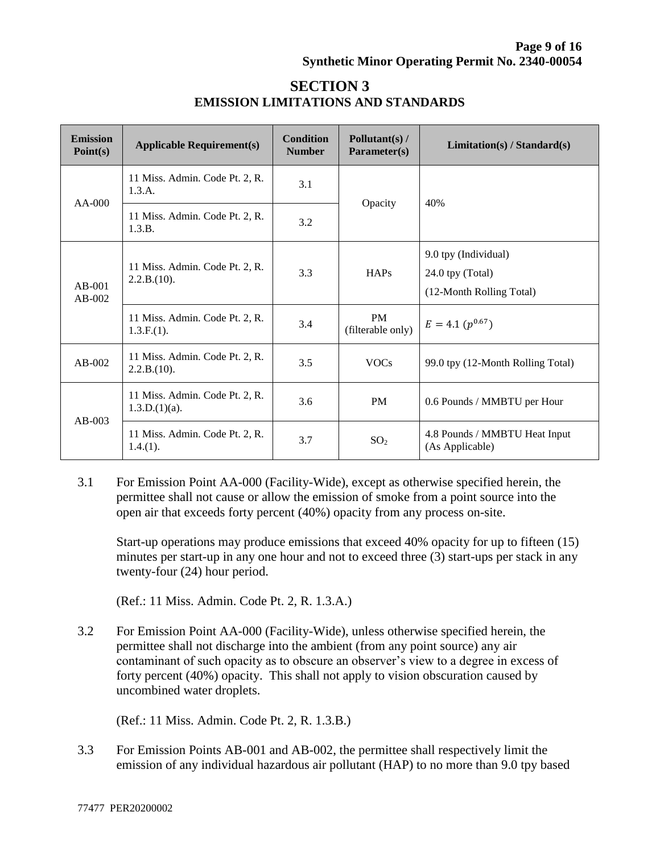| <b>Emission</b><br>Point(s) | <b>Applicable Requirement(s)</b>                   | <b>Condition</b><br><b>Number</b> | Pollutant(s) /<br>Parameter(s) | Limitation(s) / Standard(s)                                          |
|-----------------------------|----------------------------------------------------|-----------------------------------|--------------------------------|----------------------------------------------------------------------|
| $AA-000$                    | 11 Miss. Admin. Code Pt. 2, R.<br>1.3.A.           | 3.1                               |                                | 40%                                                                  |
|                             | 11 Miss. Admin. Code Pt. 2, R.<br>1.3.B.           | 3.2                               | Opacity                        |                                                                      |
| $AB-001$<br>$AB-002$        | 11 Miss. Admin. Code Pt. 2, R.<br>2.2.B.(10).      | 3.3                               | <b>HAPs</b>                    | 9.0 tpy (Individual)<br>24.0 tpy (Total)<br>(12-Month Rolling Total) |
|                             | 11 Miss. Admin. Code Pt. 2, R.<br>$1.3.F.(1)$ .    | 3.4                               | <b>PM</b><br>(filterable only) | $E = 4.1 (p^{0.67})$                                                 |
| $AB-002$                    | 11 Miss. Admin. Code Pt. 2, R.<br>2.2.B.(10).      | 3.5                               | <b>VOCs</b>                    | 99.0 tpy (12-Month Rolling Total)                                    |
| $AB-003$                    | 11 Miss. Admin. Code Pt. 2, R.<br>$1.3.D.(1)(a)$ . | 3.6                               | <b>PM</b>                      | 0.6 Pounds / MMBTU per Hour                                          |
|                             | 11 Miss. Admin. Code Pt. 2, R.<br>$1.4(1)$ .       | 3.7                               | SO <sub>2</sub>                | 4.8 Pounds / MMBTU Heat Input<br>(As Applicable)                     |

# **SECTION 3 EMISSION LIMITATIONS AND STANDARDS**

3.1 For Emission Point AA-000 (Facility-Wide), except as otherwise specified herein, the permittee shall not cause or allow the emission of smoke from a point source into the open air that exceeds forty percent (40%) opacity from any process on-site.

Start-up operations may produce emissions that exceed 40% opacity for up to fifteen (15) minutes per start-up in any one hour and not to exceed three (3) start-ups per stack in any twenty-four (24) hour period.

(Ref.: 11 Miss. Admin. Code Pt. 2, R. 1.3.A.)

3.2 For Emission Point AA-000 (Facility-Wide), unless otherwise specified herein, the permittee shall not discharge into the ambient (from any point source) any air contaminant of such opacity as to obscure an observer's view to a degree in excess of forty percent (40%) opacity. This shall not apply to vision obscuration caused by uncombined water droplets.

(Ref.: 11 Miss. Admin. Code Pt. 2, R. 1.3.B.)

3.3 For Emission Points AB-001 and AB-002, the permittee shall respectively limit the emission of any individual hazardous air pollutant (HAP) to no more than 9.0 tpy based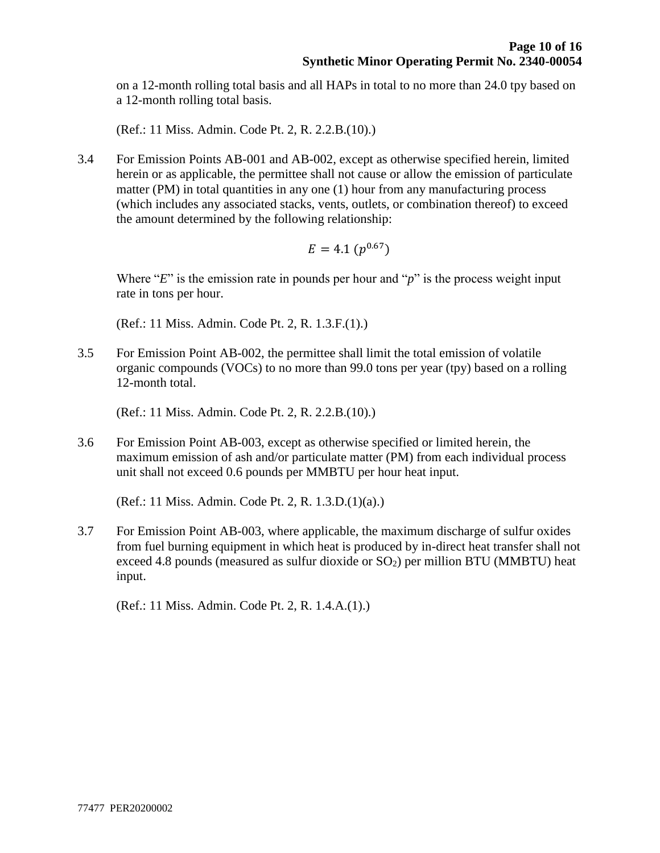on a 12-month rolling total basis and all HAPs in total to no more than 24.0 tpy based on a 12-month rolling total basis.

(Ref.: 11 Miss. Admin. Code Pt. 2, R. 2.2.B.(10).)

3.4 For Emission Points AB-001 and AB-002, except as otherwise specified herein, limited herein or as applicable, the permittee shall not cause or allow the emission of particulate matter (PM) in total quantities in any one (1) hour from any manufacturing process (which includes any associated stacks, vents, outlets, or combination thereof) to exceed the amount determined by the following relationship:

$$
E=4.1\ (p^{0.67})
$$

Where "*E*" is the emission rate in pounds per hour and "*p*" is the process weight input rate in tons per hour.

(Ref.: 11 Miss. Admin. Code Pt. 2, R. 1.3.F.(1).)

3.5 For Emission Point AB-002, the permittee shall limit the total emission of volatile organic compounds (VOCs) to no more than 99.0 tons per year (tpy) based on a rolling 12-month total.

(Ref.: 11 Miss. Admin. Code Pt. 2, R. 2.2.B.(10).)

3.6 For Emission Point AB-003, except as otherwise specified or limited herein, the maximum emission of ash and/or particulate matter (PM) from each individual process unit shall not exceed 0.6 pounds per MMBTU per hour heat input.

(Ref.: 11 Miss. Admin. Code Pt. 2, R. 1.3.D.(1)(a).)

3.7 For Emission Point AB-003, where applicable, the maximum discharge of sulfur oxides from fuel burning equipment in which heat is produced by in-direct heat transfer shall not exceed 4.8 pounds (measured as sulfur dioxide or  $SO<sub>2</sub>$ ) per million BTU (MMBTU) heat input.

(Ref.: 11 Miss. Admin. Code Pt. 2, R. 1.4.A.(1).)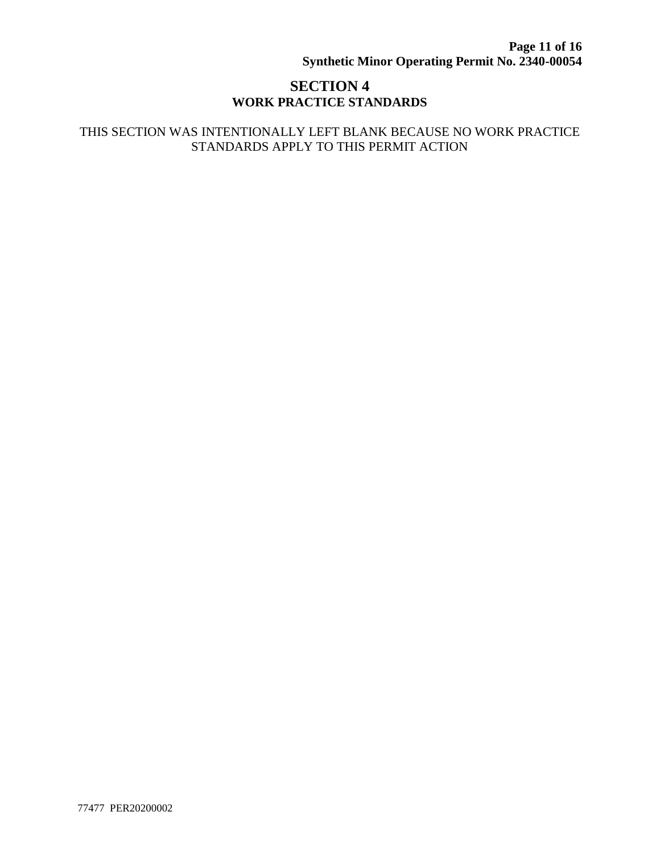# **SECTION 4 WORK PRACTICE STANDARDS**

#### THIS SECTION WAS INTENTIONALLY LEFT BLANK BECAUSE NO WORK PRACTICE STANDARDS APPLY TO THIS PERMIT ACTION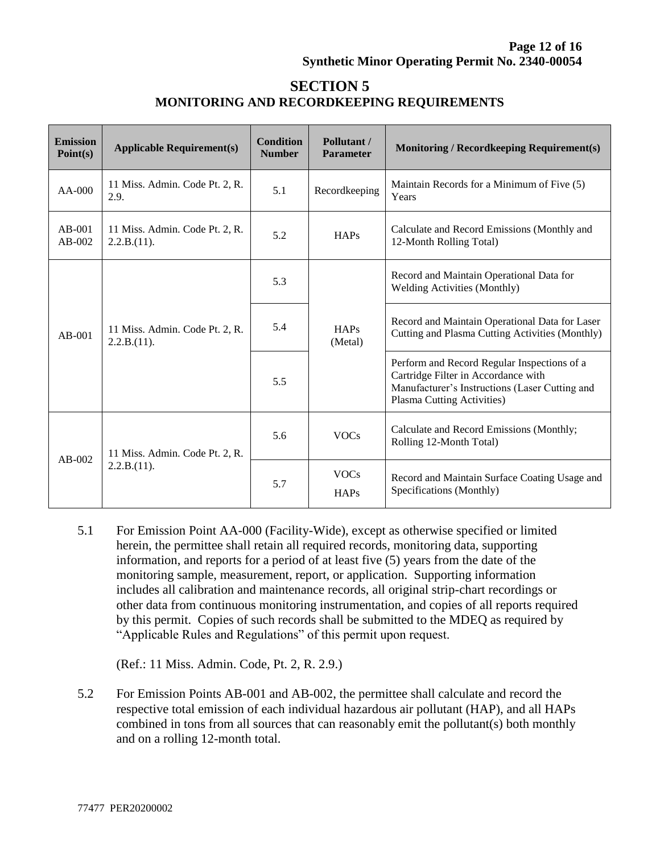# **SECTION 5 MONITORING AND RECORDKEEPING REQUIREMENTS**

| <b>Emission</b><br>Point(s) | <b>Applicable Requirement(s)</b>              | <b>Condition</b><br><b>Number</b> | Pollutant /<br><b>Parameter</b> | <b>Monitoring / Recordkeeping Requirement(s)</b>                                                                                                                   |
|-----------------------------|-----------------------------------------------|-----------------------------------|---------------------------------|--------------------------------------------------------------------------------------------------------------------------------------------------------------------|
| $AA-000$                    | 11 Miss. Admin. Code Pt. 2, R.<br>2.9.        | 5.1                               | Recordkeeping                   | Maintain Records for a Minimum of Five (5)<br>Years                                                                                                                |
| $AB-001$<br>$AB-002$        | 11 Miss. Admin. Code Pt. 2, R.<br>2.2.B.(11). | 5.2                               | <b>HAPs</b>                     | Calculate and Record Emissions (Monthly and<br>12-Month Rolling Total)                                                                                             |
| $AB-001$                    | 11 Miss. Admin. Code Pt. 2, R.<br>2.2.B.(11). | 5.3                               | HAPs<br>(Metal)                 | Record and Maintain Operational Data for<br><b>Welding Activities (Monthly)</b>                                                                                    |
|                             |                                               | 5.4                               |                                 | Record and Maintain Operational Data for Laser<br>Cutting and Plasma Cutting Activities (Monthly)                                                                  |
|                             |                                               | 5.5                               |                                 | Perform and Record Regular Inspections of a<br>Cartridge Filter in Accordance with<br>Manufacturer's Instructions (Laser Cutting and<br>Plasma Cutting Activities) |
| $AB-002$                    | 11 Miss. Admin. Code Pt. 2, R.<br>2.2.B.(11). | 5.6                               | <b>VOCs</b>                     | Calculate and Record Emissions (Monthly;<br>Rolling 12-Month Total)                                                                                                |
|                             |                                               | 5.7                               | <b>VOCs</b><br><b>HAPs</b>      | Record and Maintain Surface Coating Usage and<br>Specifications (Monthly)                                                                                          |

5.1 For Emission Point AA-000 (Facility-Wide), except as otherwise specified or limited herein, the permittee shall retain all required records, monitoring data, supporting information, and reports for a period of at least five (5) years from the date of the monitoring sample, measurement, report, or application. Supporting information includes all calibration and maintenance records, all original strip-chart recordings or other data from continuous monitoring instrumentation, and copies of all reports required by this permit. Copies of such records shall be submitted to the MDEQ as required by "Applicable Rules and Regulations" of this permit upon request.

(Ref.: 11 Miss. Admin. Code, Pt. 2, R. 2.9.)

5.2 For Emission Points AB-001 and AB-002, the permittee shall calculate and record the respective total emission of each individual hazardous air pollutant (HAP), and all HAPs combined in tons from all sources that can reasonably emit the pollutant(s) both monthly and on a rolling 12-month total.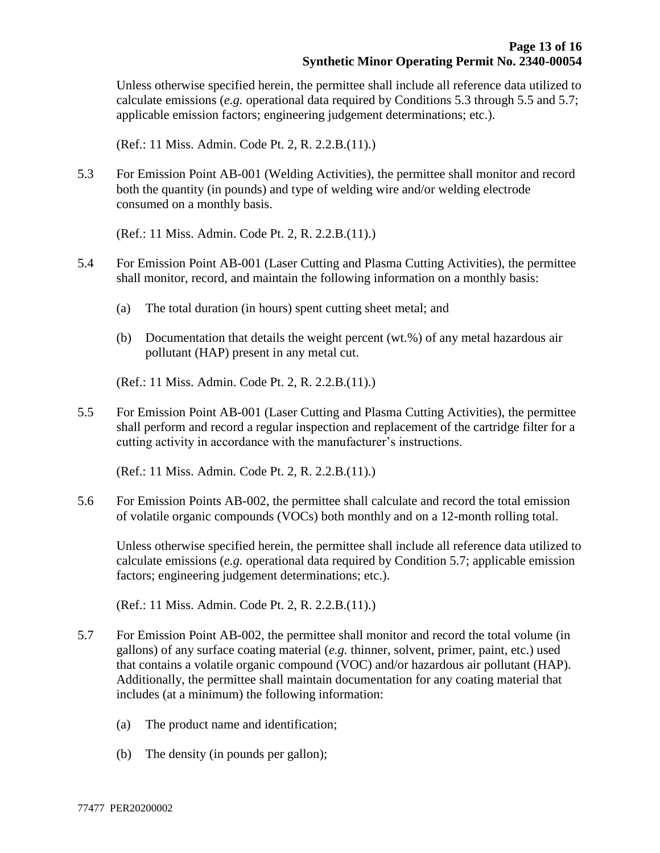Unless otherwise specified herein, the permittee shall include all reference data utilized to calculate emissions (*e.g.* operational data required by Conditions 5.3 through 5.5 and 5.7; applicable emission factors; engineering judgement determinations; etc.).

(Ref.: 11 Miss. Admin. Code Pt. 2, R. 2.2.B.(11).)

5.3 For Emission Point AB-001 (Welding Activities), the permittee shall monitor and record both the quantity (in pounds) and type of welding wire and/or welding electrode consumed on a monthly basis.

(Ref.: 11 Miss. Admin. Code Pt. 2, R. 2.2.B.(11).)

- 5.4 For Emission Point AB-001 (Laser Cutting and Plasma Cutting Activities), the permittee shall monitor, record, and maintain the following information on a monthly basis:
	- (a) The total duration (in hours) spent cutting sheet metal; and
	- (b) Documentation that details the weight percent (wt.%) of any metal hazardous air pollutant (HAP) present in any metal cut.

(Ref.: 11 Miss. Admin. Code Pt. 2, R. 2.2.B.(11).)

5.5 For Emission Point AB-001 (Laser Cutting and Plasma Cutting Activities), the permittee shall perform and record a regular inspection and replacement of the cartridge filter for a cutting activity in accordance with the manufacturer's instructions.

(Ref.: 11 Miss. Admin. Code Pt. 2, R. 2.2.B.(11).)

5.6 For Emission Points AB-002, the permittee shall calculate and record the total emission of volatile organic compounds (VOCs) both monthly and on a 12-month rolling total.

Unless otherwise specified herein, the permittee shall include all reference data utilized to calculate emissions (*e.g.* operational data required by Condition 5.7; applicable emission factors; engineering judgement determinations; etc.).

(Ref.: 11 Miss. Admin. Code Pt. 2, R. 2.2.B.(11).)

- 5.7 For Emission Point AB-002, the permittee shall monitor and record the total volume (in gallons) of any surface coating material (*e.g.* thinner, solvent, primer, paint, etc.) used that contains a volatile organic compound (VOC) and/or hazardous air pollutant (HAP). Additionally, the permittee shall maintain documentation for any coating material that includes (at a minimum) the following information:
	- (a) The product name and identification;
	- (b) The density (in pounds per gallon);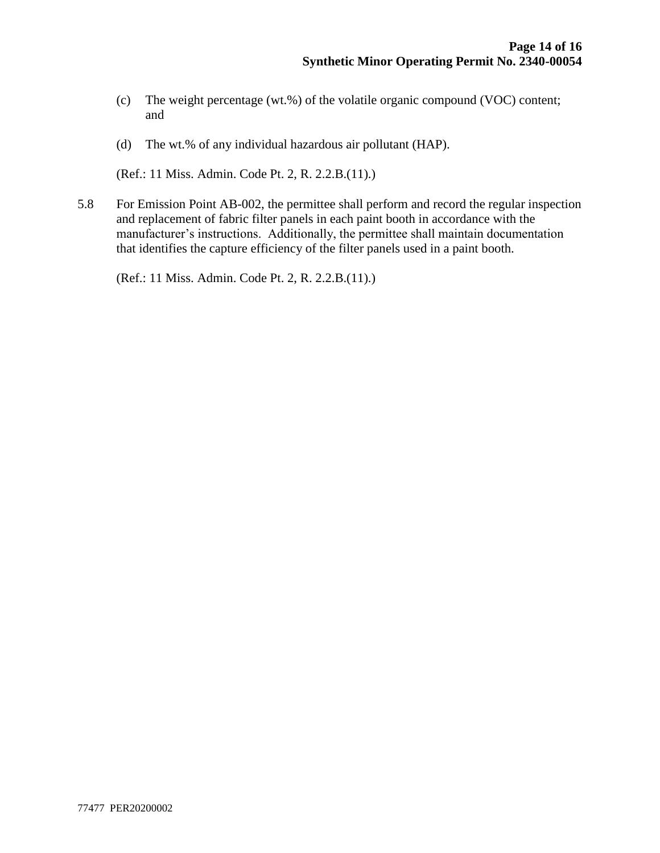- (c) The weight percentage (wt.%) of the volatile organic compound (VOC) content; and
- (d) The wt.% of any individual hazardous air pollutant (HAP).

(Ref.: 11 Miss. Admin. Code Pt. 2, R. 2.2.B.(11).)

5.8 For Emission Point AB-002, the permittee shall perform and record the regular inspection and replacement of fabric filter panels in each paint booth in accordance with the manufacturer's instructions. Additionally, the permittee shall maintain documentation that identifies the capture efficiency of the filter panels used in a paint booth.

(Ref.: 11 Miss. Admin. Code Pt. 2, R. 2.2.B.(11).)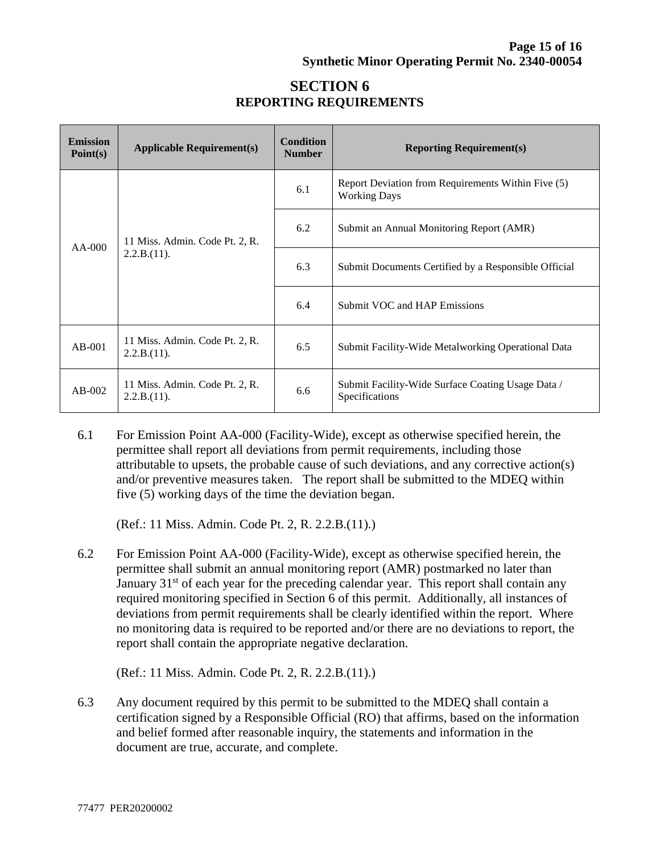# **SECTION 6 REPORTING REQUIREMENTS**

| <b>Emission</b><br>Point(s) | <b>Applicable Requirement(s)</b>              | <b>Condition</b><br><b>Number</b> | <b>Reporting Requirement(s)</b>                                           |  |
|-----------------------------|-----------------------------------------------|-----------------------------------|---------------------------------------------------------------------------|--|
| $AA-000$                    | 11 Miss. Admin. Code Pt. 2, R.<br>2.2.B.(11). | 6.1                               | Report Deviation from Requirements Within Five (5)<br><b>Working Days</b> |  |
|                             |                                               | 6.2                               | Submit an Annual Monitoring Report (AMR)                                  |  |
|                             |                                               | 6.3                               | Submit Documents Certified by a Responsible Official                      |  |
|                             |                                               | 6.4                               | Submit VOC and HAP Emissions                                              |  |
| $AB-001$                    | 11 Miss. Admin. Code Pt. 2, R.<br>2.2.B.(11). | 6.5                               | Submit Facility-Wide Metalworking Operational Data                        |  |
| $AB-002$                    | 11 Miss. Admin. Code Pt. 2, R.<br>2.2.B.(11). | 6.6                               | Submit Facility-Wide Surface Coating Usage Data /<br>Specifications       |  |

6.1 For Emission Point AA-000 (Facility-Wide), except as otherwise specified herein, the permittee shall report all deviations from permit requirements, including those attributable to upsets, the probable cause of such deviations, and any corrective action(s) and/or preventive measures taken. The report shall be submitted to the MDEQ within five (5) working days of the time the deviation began.

(Ref.: 11 Miss. Admin. Code Pt. 2, R. 2.2.B.(11).)

6.2 For Emission Point AA-000 (Facility-Wide), except as otherwise specified herein, the permittee shall submit an annual monitoring report (AMR) postmarked no later than January  $31<sup>st</sup>$  of each year for the preceding calendar year. This report shall contain any required monitoring specified in Section 6 of this permit. Additionally, all instances of deviations from permit requirements shall be clearly identified within the report. Where no monitoring data is required to be reported and/or there are no deviations to report, the report shall contain the appropriate negative declaration.

(Ref.: 11 Miss. Admin. Code Pt. 2, R. 2.2.B.(11).)

6.3 Any document required by this permit to be submitted to the MDEQ shall contain a certification signed by a Responsible Official (RO) that affirms, based on the information and belief formed after reasonable inquiry, the statements and information in the document are true, accurate, and complete.